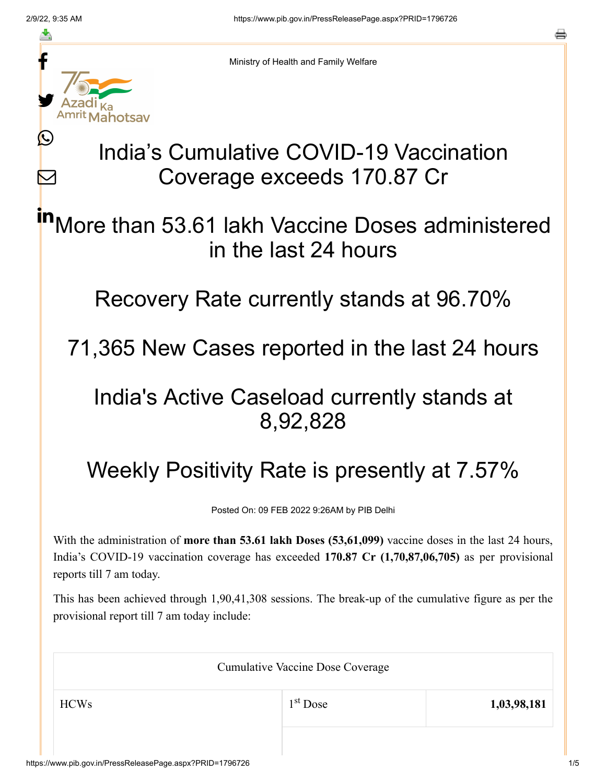≛

Ŀ

 $\bm{\nabla}$ 

Ministry of Health and Family Welfare

## India's Cumulative COVID-19 Vaccination Coverage exceeds 170.87 Cr

More than 53.61 lakh Vaccine Doses administered in the last 24 hours in

Recovery Rate currently stands at 96.70%

71,365 New Cases reported in the last 24 hours

## India's Active Caseload currently stands at 8,92,828

## Weekly Positivity Rate is presently at 7.57%

Posted On: 09 FEB 2022 9:26AM by PIB Delhi

With the administration of **more than 53.61 lakh Doses (53,61,099)** vaccine doses in the last 24 hours, India's COVID-19 vaccination coverage has exceeded **170.87 Cr (1,70,87,06,705)** as per provisional reports till 7 am today.

This has been achieved through 1,90,41,308 sessions. The break-up of the cumulative figure as per the provisional report till 7 am today include:

| <b>Cumulative Vaccine Dose Coverage</b> |            |             |  |
|-----------------------------------------|------------|-------------|--|
| <b>HCWs</b>                             | $1st$ Dose | 1,03,98,181 |  |
|                                         |            |             |  |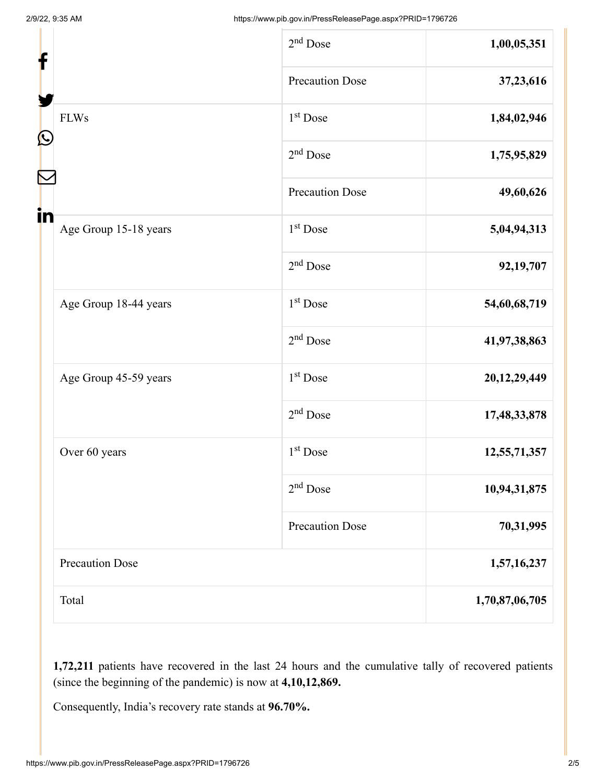| f                                | $2nd$ Dose             | 1,00,05,351    |
|----------------------------------|------------------------|----------------|
|                                  | <b>Precaution Dose</b> | 37,23,616      |
| <b>FLWs</b><br>$\mathbf{\Omega}$ | 1 <sup>st</sup> Dose   | 1,84,02,946    |
|                                  | $2nd$ Dose             | 1,75,95,829    |
|                                  | <b>Precaution Dose</b> | 49,60,626      |
| in<br>Age Group 15-18 years      | $1st$ Dose             | 5,04,94,313    |
|                                  | $2nd$ Dose             | 92,19,707      |
| Age Group 18-44 years            | $1st$ Dose             | 54,60,68,719   |
|                                  | $2nd$ Dose             | 41,97,38,863   |
| Age Group 45-59 years            | 1 <sup>st</sup> Dose   | 20,12,29,449   |
|                                  | $2nd$ Dose             | 17,48,33,878   |
| Over 60 years                    | 1 <sup>st</sup> Dose   | 12,55,71,357   |
|                                  | $2nd$ Dose             | 10,94,31,875   |
|                                  | <b>Precaution Dose</b> | 70,31,995      |
| <b>Precaution Dose</b>           |                        | 1,57,16,237    |
| Total                            |                        | 1,70,87,06,705 |

**1,72,211** patients have recovered in the last 24 hours and the cumulative tally of recovered patients (since the beginning of the pandemic) is now at **4,10,12,869.**

Consequently, India's recovery rate stands at **96.70%.**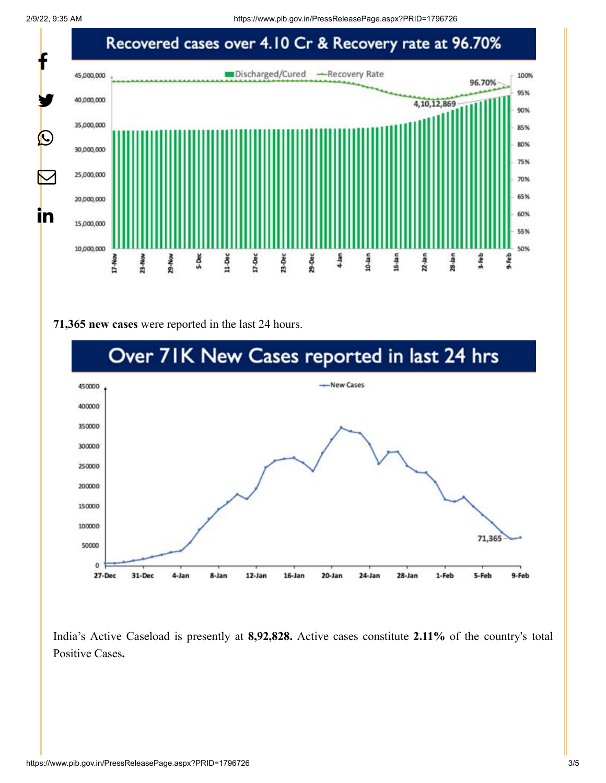2/9/22, 9:35 AM https://www.pib.gov.in/PressReleasePage.aspx?PRID=1796726



## **71,365 new cases** were reported in the last 24 hours.



India's Active Caseload is presently at **8,92,828.** Active cases constitute **2.11%** of the country's total Positive Cases**.**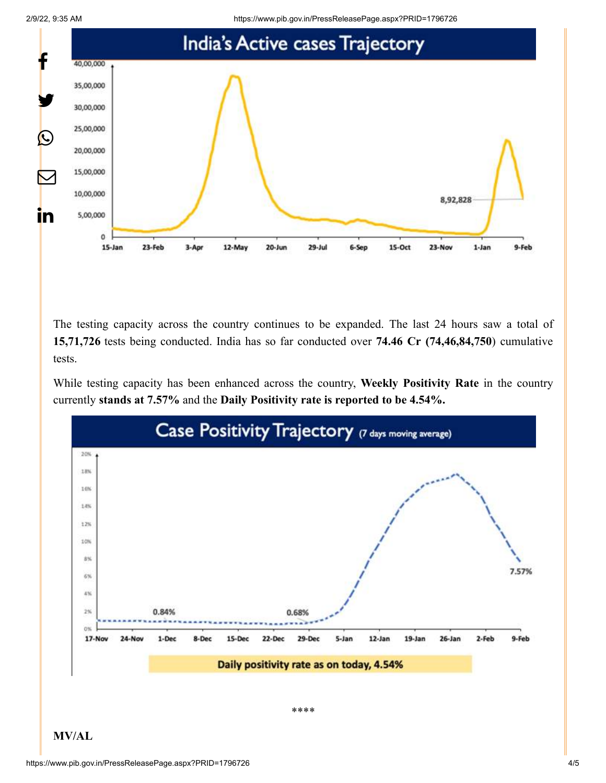

The testing capacity across the country continues to be expanded. The last 24 hours saw a total of **15,71,726** tests being conducted. India has so far conducted over **74.46 Cr (74,46,84,750**) cumulative tests.

While testing capacity has been enhanced across the country, **Weekly Positivity Rate** in the country currently **stands at 7.57%** and the **Daily Positivity rate is reported to be 4.54%.**